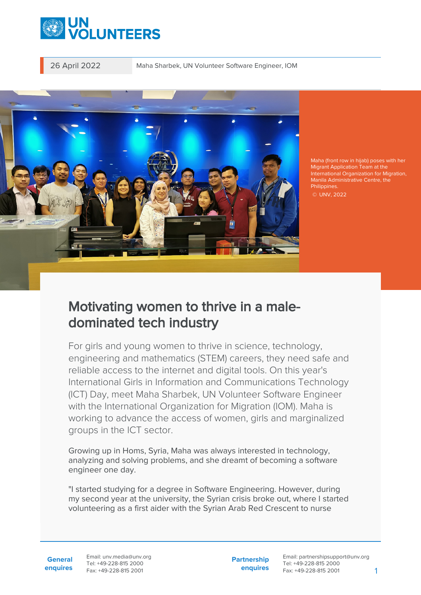

26 April 2022 Maha Sharbek, UN Volunteer Software Engineer, IOM



Maha (front row in hijab) poses with her Migrant Application Team at the International Organization for Migration, Manila Administrative Centre, the Philippines. © UNV, 2022

## Motivating women to thrive in a maledominated tech industry

For girls and young women to thrive in science, technology, engineering and mathematics (STEM) careers, they need safe and reliable access to the internet and digital tools. On this year's International Girls in Information and Communications Technology (ICT) Day, meet Maha Sharbek, UN Volunteer Software Engineer with the International Organization for Migration (IOM). Maha is working to advance the access of women, girls and marginalized groups in the ICT sector.

Growing up in Homs, Syria, Maha was always interested in technology, analyzing and solving problems, and she dreamt of becoming a software engineer one day.

"I started studying for a degree in Software Engineering. However, during my second year at the university, the Syrian crisis broke out, where I started volunteering as a first aider with the Syrian Arab Red Crescent to nurse

**General enquires** Email: unv.media@unv.org Tel: +49-228-815 2000 Fax: +49-228-815 2001

**Partnership enquires**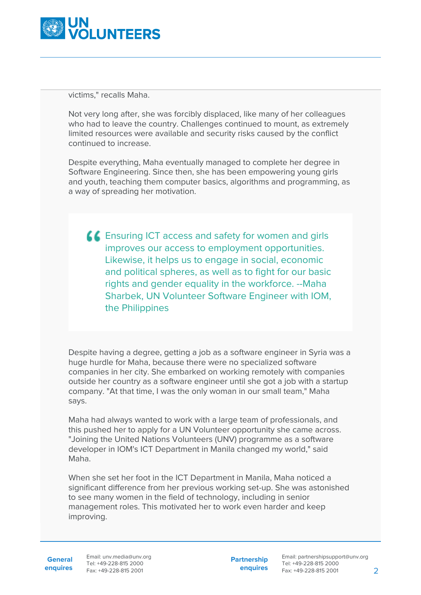

victims," recalls Maha.

Not very long after, she was forcibly displaced, like many of her colleagues who had to leave the country. Challenges continued to mount, as extremely limited resources were available and security risks caused by the conflict continued to increase.

Despite everything, Maha eventually managed to complete her degree in Software Engineering. Since then, she has been empowering young girls and youth, teaching them computer basics, algorithms and programming, as a way of spreading her motivation.

**LE** Ensuring ICT access and safety for women and girls improves our access to employment opportunities. Likewise, it helps us to engage in social, economic and political spheres, as well as to fight for our basic rights and gender equality in the workforce. --Maha Sharbek, UN Volunteer Software Engineer with IOM, the Philippines

Despite having a degree, getting a job as a software engineer in Syria was a huge hurdle for Maha, because there were no specialized software companies in her city. She embarked on working remotely with companies outside her country as a software engineer until she got a job with a startup company. "At that time, I was the only woman in our small team," Maha says.

Maha had always wanted to work with a large team of professionals, and this pushed her to apply for a UN Volunteer opportunity she came across. "Joining the United Nations Volunteers (UNV) programme as a software developer in IOM's ICT Department in Manila changed my world," said Maha.

When she set her foot in the ICT Department in Manila, Maha noticed a significant difference from her previous working set-up. She was astonished to see many women in the field of technology, including in senior management roles. This motivated her to work even harder and keep improving.

General Email: unv.media@unv.org **enquires** Fax: +49-228-815 2001 Tel: +49-228-815 2000

**Partnership enquires**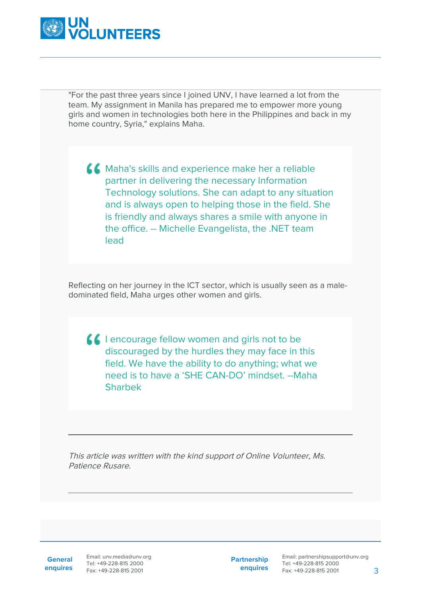

"For the past three years since I joined UNV, I have learned a lot from the team. My assignment in Manila has prepared me to empower more young girls and women in technologies both here in the Philippines and back in my home country, Syria," explains Maha.

**A.C.** Maha's skills and experience make her a reliable partner in delivering the necessary Information Technology solutions. She can adapt to any situation and is always open to helping those in the field. She is friendly and always shares a smile with anyone in the office. -- Michelle Evangelista, the .NET team lead

Reflecting on her journey in the ICT sector, which is usually seen as a maledominated field, Maha urges other women and girls.

**I** lencourage fellow women and girls not to be discouraged by the hurdles they may face in this field. We have the ability to do anything; what we need is to have a 'SHE CAN-DO' mindset. --Maha Sharbek

This article was written with the kind support of Online Volunteer, Ms. Patience Rusare.

**General**

**enquires** Fax: +49-228-815 2001 Email: unv.media@unv.org Tel: +49-228-815 2000

**Partnership enquires**